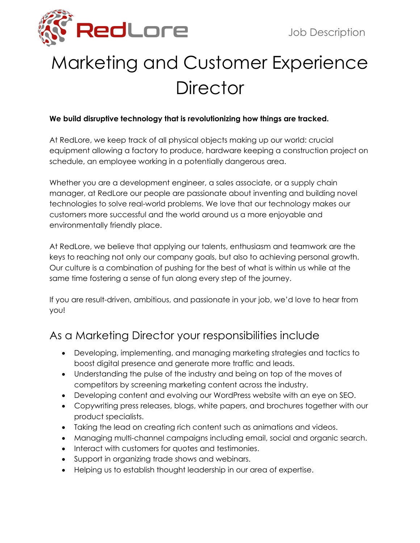

# Marketing and Customer Experience **Director**

#### **We build disruptive technology that is revolutionizing how things are tracked.**

At RedLore, we keep track of all physical objects making up our world: crucial equipment allowing a factory to produce, hardware keeping a construction project on schedule, an employee working in a potentially dangerous area.

Whether you are a development engineer, a sales associate, or a supply chain manager, at RedLore our people are passionate about inventing and building novel technologies to solve real-world problems. We love that our technology makes our customers more successful and the world around us a more enjoyable and environmentally friendly place.

At RedLore, we believe that applying our talents, enthusiasm and teamwork are the keys to reaching not only our company goals, but also to achieving personal growth. Our culture is a combination of pushing for the best of what is within us while at the same time fostering a sense of fun along every step of the journey.

If you are result-driven, ambitious, and passionate in your job, we'd love to hear from you!

#### As a Marketing Director your responsibilities include

- Developing, implementing, and managing marketing strategies and tactics to boost digital presence and generate more traffic and leads.
- Understanding the pulse of the industry and being on top of the moves of competitors by screening marketing content across the industry.
- Developing content and evolving our WordPress website with an eye on SEO.
- Copywriting press releases, blogs, white papers, and brochures together with our product specialists.
- Taking the lead on creating rich content such as animations and videos.
- Managing multi-channel campaigns including email, social and organic search.
- Interact with customers for quotes and testimonies.
- Support in organizing trade shows and webinars.
- Helping us to establish thought leadership in our area of expertise.